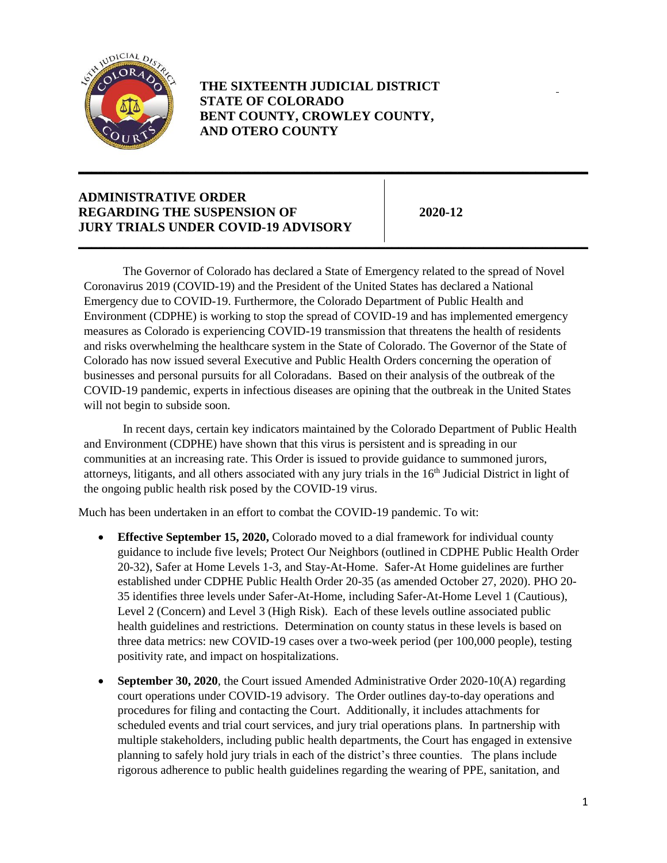

 **THE SIXTEENTH JUDICIAL DISTRICT STATE OF COLORADO BENT COUNTY, CROWLEY COUNTY, AND OTERO COUNTY**

**\_\_\_\_\_\_\_\_\_\_\_\_\_\_\_\_\_\_\_\_\_\_\_\_\_\_\_\_\_\_\_\_\_\_\_\_\_\_\_\_\_\_\_\_\_\_\_\_\_\_\_\_\_\_\_\_\_\_\_\_\_\_\_\_\_\_\_\_\_\_\_\_\_\_\_\_\_\_**

**\_\_\_\_\_\_\_\_\_\_\_\_\_\_\_\_\_\_\_\_\_\_\_\_\_\_\_\_\_\_\_\_\_\_\_\_\_\_\_\_\_\_\_\_\_\_\_\_\_\_\_\_\_\_\_\_\_\_\_\_\_\_\_\_\_\_\_\_\_\_\_\_\_\_\_\_\_\_**

## **JURY TRIALS UNDER COVID-19 ADVISORY ADMINISTRATIVE ORDER REGARDING THE SUSPENSION OF 2020-12**

 businesses and personal pursuits for all Coloradans. Based on their analysis of the outbreak of the The Governor of Colorado has declared a State of Emergency related to the spread of Novel Coronavirus 2019 (COVID-19) and the President of the United States has declared a National Emergency due to COVID-19. Furthermore, the Colorado Department of Public Health and Environment (CDPHE) is working to stop the spread of COVID-19 and has implemented emergency measures as Colorado is experiencing COVID-19 transmission that threatens the health of residents and risks overwhelming the healthcare system in the State of Colorado. The Governor of the State of Colorado has now issued several Executive and Public Health Orders concerning the operation of COVID-19 pandemic, experts in infectious diseases are opining that the outbreak in the United States will not begin to subside soon.

In recent days, certain key indicators maintained by the Colorado Department of Public Health and Environment (CDPHE) have shown that this virus is persistent and is spreading in our communities at an increasing rate. This Order is issued to provide guidance to summoned jurors, attorneys, litigants, and all others associated with any jury trials in the 16<sup>th</sup> Judicial District in light of the ongoing public health risk posed by the COVID-19 virus.

Much has been undertaken in an effort to combat the COVID-19 pandemic. To wit:

- **Effective September 15, 2020,** Colorado moved to a dial framework for individual county guidance to include five levels; Protect Our Neighbors (outlined in CDPHE Public Health Order 20-32), Safer at Home Levels 1-3, and Stay-At-Home. Safer-At Home guidelines are further established under CDPHE Public Health Order 20-35 (as amended October 27, 2020). PHO 20- 35 identifies three levels under Safer-At-Home, including Safer-At-Home Level 1 (Cautious), Level 2 (Concern) and Level 3 (High Risk). Each of these levels outline associated public health guidelines and restrictions. Determination on county status in these levels is based on three data metrics: new COVID-19 cases over a two-week period (per 100,000 people), testing positivity rate, and impact on hospitalizations.
- scheduled events and trial court services, and jury trial operations plans. In partnership with **September 30, 2020**, the Court issued Amended Administrative Order 2020-10(A) regarding court operations under COVID-19 advisory. The Order outlines day-to-day operations and procedures for filing and contacting the Court. Additionally, it includes attachments for multiple stakeholders, including public health departments, the Court has engaged in extensive planning to safely hold jury trials in each of the district's three counties. The plans include rigorous adherence to public health guidelines regarding the wearing of PPE, sanitation, and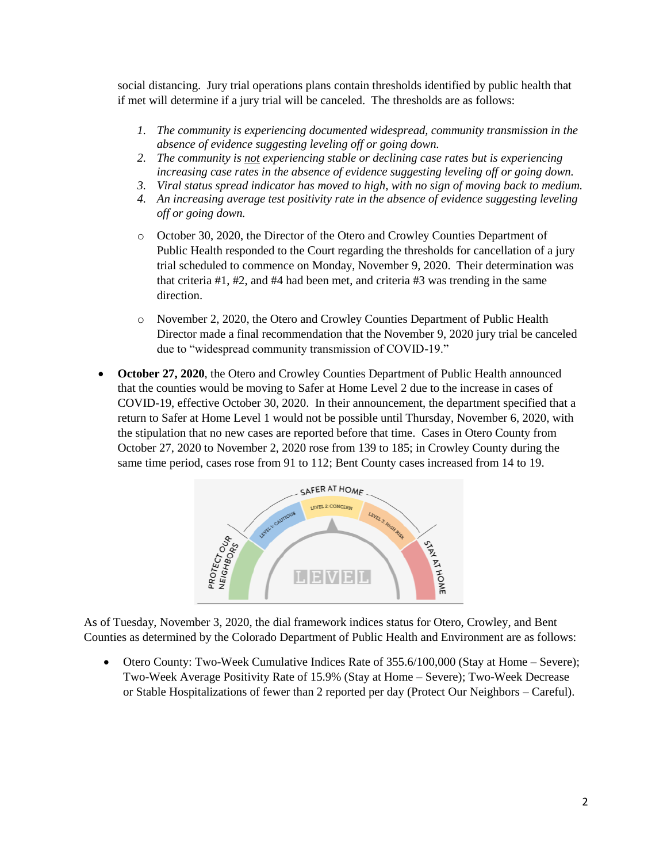social distancing. Jury trial operations plans contain thresholds identified by public health that if met will determine if a jury trial will be canceled. The thresholds are as follows:

- *1. The community is experiencing documented widespread, community transmission in the absence of evidence suggesting leveling off or going down.*
- *2. The community is not experiencing stable or declining case rates but is experiencing increasing case rates in the absence of evidence suggesting leveling off or going down.*
- *3. Viral status spread indicator has moved to high, with no sign of moving back to medium.*
- *4. An increasing average test positivity rate in the absence of evidence suggesting leveling off or going down.*
- o October 30, 2020, the Director of the Otero and Crowley Counties Department of Public Health responded to the Court regarding the thresholds for cancellation of a jury trial scheduled to commence on Monday, November 9, 2020. Their determination was that criteria #1, #2, and #4 had been met, and criteria #3 was trending in the same direction.
- o November 2, 2020, the Otero and Crowley Counties Department of Public Health Director made a final recommendation that the November 9, 2020 jury trial be canceled due to "widespread community transmission of COVID-19."
- **October 27, 2020**, the Otero and Crowley Counties Department of Public Health announced that the counties would be moving to Safer at Home Level 2 due to the increase in cases of COVID-19, effective October 30, 2020. In their announcement, the department specified that a return to Safer at Home Level 1 would not be possible until Thursday, November 6, 2020, with the stipulation that no new cases are reported before that time. Cases in Otero County from October 27, 2020 to November 2, 2020 rose from 139 to 185; in Crowley County during the same time period, cases rose from 91 to 112; Bent County cases increased from 14 to 19.



As of Tuesday, November 3, 2020, the dial framework indices status for Otero, Crowley, and Bent Counties as determined by the Colorado Department of Public Health and Environment are as follows:

• Otero County: Two-Week Cumulative Indices Rate of 355.6/100,000 (Stay at Home – Severe); Two-Week Average Positivity Rate of 15.9% (Stay at Home – Severe); Two-Week Decrease or Stable Hospitalizations of fewer than 2 reported per day (Protect Our Neighbors – Careful).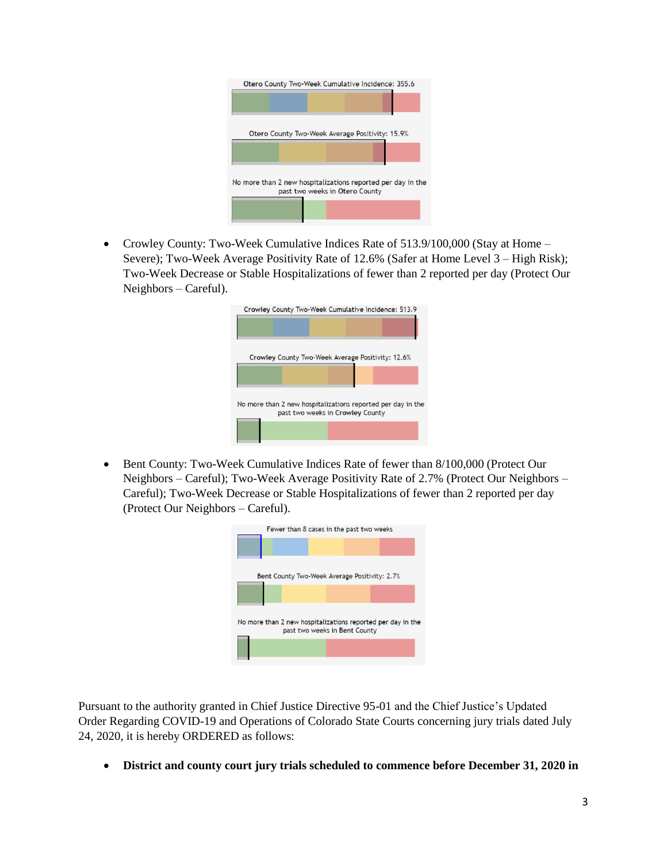

• Crowley County: Two-Week Cumulative Indices Rate of 513.9/100,000 (Stay at Home – Severe); Two-Week Average Positivity Rate of 12.6% (Safer at Home Level 3 – High Risk); Two-Week Decrease or Stable Hospitalizations of fewer than 2 reported per day (Protect Our Neighbors – Careful).

| Crowley County Two-Week Cumulative Incidence: 513.9         |                                  |  |  |
|-------------------------------------------------------------|----------------------------------|--|--|
| Crowley County Two-Week Average Positivity: 12.6%           |                                  |  |  |
| No more than 2 new hospitalizations reported per day in the | past two weeks in Crowley County |  |  |
|                                                             |                                  |  |  |

• Bent County: Two-Week Cumulative Indices Rate of fewer than 8/100,000 (Protect Our Neighbors – Careful); Two-Week Average Positivity Rate of 2.7% (Protect Our Neighbors – Careful); Two-Week Decrease or Stable Hospitalizations of fewer than 2 reported per day (Protect Our Neighbors – Careful).



Pursuant to the authority granted in Chief Justice Directive 95-01 and the Chief Justice's Updated Order Regarding COVID-19 and Operations of Colorado State Courts concerning jury trials dated July 24, 2020, it is hereby ORDERED as follows:

• **District and county court jury trials scheduled to commence before December 31, 2020 in**